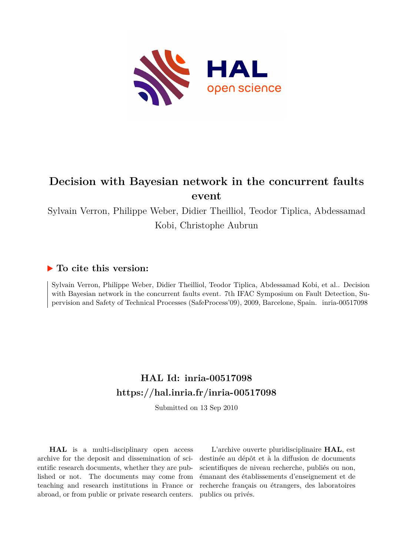

# **Decision with Bayesian network in the concurrent faults event**

Sylvain Verron, Philippe Weber, Didier Theilliol, Teodor Tiplica, Abdessamad Kobi, Christophe Aubrun

# **To cite this version:**

Sylvain Verron, Philippe Weber, Didier Theilliol, Teodor Tiplica, Abdessamad Kobi, et al.. Decision with Bayesian network in the concurrent faults event. 7th IFAC Symposium on Fault Detection, Supervision and Safety of Technical Processes (SafeProcess'09), 2009, Barcelone, Spain. inria-00517098

# **HAL Id: inria-00517098 <https://hal.inria.fr/inria-00517098>**

Submitted on 13 Sep 2010

**HAL** is a multi-disciplinary open access archive for the deposit and dissemination of scientific research documents, whether they are published or not. The documents may come from teaching and research institutions in France or abroad, or from public or private research centers.

L'archive ouverte pluridisciplinaire **HAL**, est destinée au dépôt et à la diffusion de documents scientifiques de niveau recherche, publiés ou non, émanant des établissements d'enseignement et de recherche français ou étrangers, des laboratoires publics ou privés.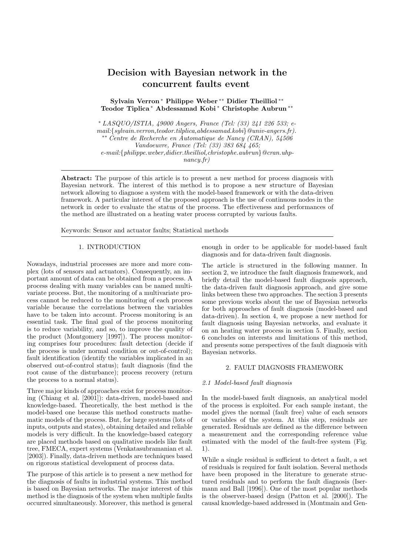# Decision with Bayesian network in the concurrent faults event

Sylvain Verron <sup>∗</sup> Philippe Weber ∗∗ Didier Theilliol ∗∗ Teodor Tiplica <sup>∗</sup> Abdessamad Kobi <sup>∗</sup> Christophe Aubrun ∗∗

<sup>∗</sup> LASQUO/ISTIA, 49000 Angers, France (Tel: (33) 241 226 533; email:{sylvain.verron,teodor.tilplica,abdessamad.kobi}@univ-angers.fr). ∗∗ Centre de Recherche en Automatique de Nancy (CRAN), 54506 Vandoeuvre, France (Tel: (33) 383 684 465; e-mail:{philippe.weber,didier.theilliol,christophe.aubrun}@cran.uhpnancy.fr)

Abstract: The purpose of this article is to present a new method for process diagnosis with Bayesian network. The interest of this method is to propose a new structure of Bayesian network allowing to diagnose a system with the model-based framework or with the data-driven framework. A particular interest of the proposed approach is the use of continuous nodes in the network in order to evaluate the status of the process. The effectiveness and performances of the method are illustrated on a heating water process corrupted by various faults.

Keywords: Sensor and actuator faults; Statistical methods

### 1. INTRODUCTION

Nowadays, industrial processes are more and more complex (lots of sensors and actuators). Consequently, an important amount of data can be obtained from a process. A process dealing with many variables can be named multivariate process. But, the monitoring of a multivariate process cannot be reduced to the monitoring of each process variable because the correlations between the variables have to be taken into account. Process monitoring is an essential task. The final goal of the process monitoring is to reduce variability, and so, to improve the quality of the product (Montgomery [1997]). The process monitoring comprises four procedures: fault detection (decide if the process is under normal condition or out-of-control); fault identification (identify the variables implicated in an observed out-of-control status); fault diagnosis (find the root cause of the disturbance); process recovery (return the process to a normal status).

Three major kinds of approaches exist for process monitoring (Chiang et al. [2001]): data-driven, model-based and knowledge-based. Theoretically, the best method is the model-based one because this method constructs mathematic models of the process. But, for large systems (lots of inputs, outputs and states), obtaining detailed and reliable models is very difficult. In the knowledge-based category are placed methods based on qualitative models like fault tree, FMECA, expert systems (Venkatasubramanian et al. [2003]). Finally, data-driven methods are techniques based on rigorous statistical development of process data.

The purpose of this article is to present a new method for the diagnosis of faults in industrial systems. This method is based on Bayesian networks. The major interest of this method is the diagnosis of the system when multiple faults occurred simultaneously. Moreover, this method is general

enough in order to be applicable for model-based fault diagnosis and for data-driven fault diagnosis.

The article is structured in the following manner. In section 2, we introduce the fault diagnosis framework, and briefly detail the model-based fault diagnosis approach, the data-driven fault diagnosis approach, and give some links between these two approaches. The section 3 presents some previous works about the use of Bayesian networks for both approaches of fault diagnosis (model-based and data-driven). In section 4, we propose a new method for fault diagnosis using Bayesian networks, and evaluate it on an heating water process in section 5. Finally, section 6 concludes on interests and limitations of this method, and presents some perspectives of the fault diagnosis with Bayesian networks.

#### 2. FAULT DIAGNOSIS FRAMEWORK

### 2.1 Model-based fault diagnosis

In the model-based fault diagnosis, an analytical model of the process is exploited. For each sample instant, the model gives the normal (fault free) value of each sensors or variables of the system. At this step, residuals are generated. Residuals are defined as the difference between a measurement and the corresponding reference value estimated with the model of the fault-free system (Fig. 1).

While a single residual is sufficient to detect a fault, a set of residuals is required for fault isolation. Several methods have been proposed in the literature to generate structured residuals and to perform the fault diagnosis (Isermann and Ball [1996]). One of the most popular methods is the observer-based design (Patton et al. [2000]). The causal knowledge-based addressed in (Montmain and Gen-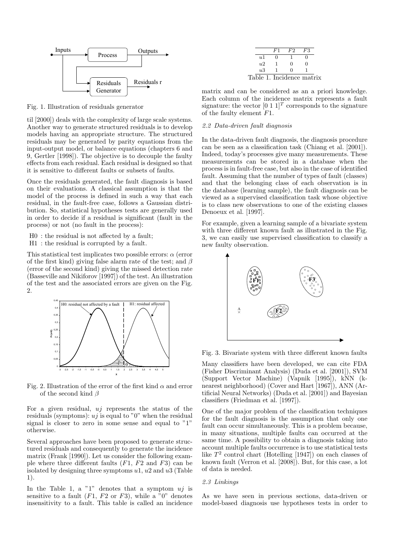

Fig. 1. Illustration of residuals generator

til [2000]) deals with the complexity of large scale systems. Another way to generate structured residuals is to develop models having an appropriate structure. The structured residuals may be generated by parity equations from the input-output model, or balance equations (chapters 6 and 9, Gertler [1998]). The objective is to decouple the faulty effects from each residual. Each residual is designed so that it is sensitive to different faults or subsets of faults.

Once the residuals generated, the fault diagnosis is based on their evaluations. A classical assumption is that the model of the process is defined in such a way that each residual, in the fault-free case, follows a Gaussian distribution. So, statistical hypotheses tests are generally used in order to decide if a residual is significant (fault in the process) or not (no fault in the process):

- H0 : the residual is not affected by a fault;
- H1 : the residual is corrupted by a fault.

This statistical test implicates two possible errors:  $\alpha$  (error of the first kind) giving false alarm rate of the test; and  $\beta$ (error of the second kind) giving the missed detection rate (Basseville and Nikiforov [1997]) of the test. An illustration of the test and the associated errors are given on the Fig. 2.



Fig. 2. Illustration of the error of the first kind  $\alpha$  and error of the second kind  $\beta$ 

For a given residual,  $u_i$  represents the status of the residuals (symptoms):  $u_j$  is equal to "0" when the residual signal is closer to zero in some sense and equal to "1" otherwise.

Several approaches have been proposed to generate structured residuals and consequently to generate the incidence matrix (Frank [1990]). Let us consider the following example where three different faults  $(F1, F2 \text{ and } F3)$  can be isolated by designing three symptoms  $u_1$ ,  $u_2$  and  $u_3$  (Table 1).

In the Table 1, a "1" denotes that a symptom  $uj$  is sensitive to a fault  $(F1, F2 \text{ or } F3)$ , while a  $\overline{0}$  denotes insensitivity to a fault. This table is called an incidence

|                           | F1 | F2           | F3 |  |
|---------------------------|----|--------------|----|--|
| u1                        |    |              |    |  |
| 1/2                       |    | $\mathbf{0}$ | 0  |  |
| u3                        |    | $^{\circ}$   |    |  |
| Table 1. Incidence matrix |    |              |    |  |

matrix and can be considered as an a priori knowledge. Each column of the incidence matrix represents a fault signature: the vector  $[0 \ 1 \ 1]^T$  corresponds to the signature of the faulty element F1.

# 2.2 Data-driven fault diagnosis

In the data-driven fault diagnosis, the diagnosis procedure can be seen as a classification task (Chiang et al. [2001]). Indeed, today's processes give many measurements. These measurements can be stored in a database when the process is in fault-free case, but also in the case of identified fault. Assuming that the number of types of fault (classes) and that the belonging class of each observation is in the database (learning sample), the fault diagnosis can be viewed as a supervised classification task whose objective is to class new observations to one of the existing classes Denoeux et al. [1997].

For example, given a learning sample of a bivariate system with three different known fault as illustrated in the Fig. 3, we can easily use supervised classification to classify a new faulty observation.



Fig. 3. Bivariate system with three different known faults

Many classifiers have been developed, we can cite FDA (Fisher Discriminant Analysis) (Duda et al. [2001]), SVM (Support Vector Machine) (Vapnik [1995]), kNN (knearest neighborhood) (Cover and Hart [1967]), ANN (Artificial Neural Networks) (Duda et al. [2001]) and Bayesian classifiers (Friedman et al. [1997]).

One of the major problem of the classification techniques for the fault diagnosis is the assumption that only one fault can occur simultaneously. This is a problem because, in many situations, multiple faults can occurred at the same time. A possibility to obtain a diagnosis taking into account multiple faults occurrence is to use statistical tests like  $T^2$  control chart (Hotelling [1947]) on each classes of known fault (Verron et al. [2008]). But, for this case, a lot of data is needed.

#### 2.3 Linkings

As we have seen in previous sections, data-driven or model-based diagnosis use hypotheses tests in order to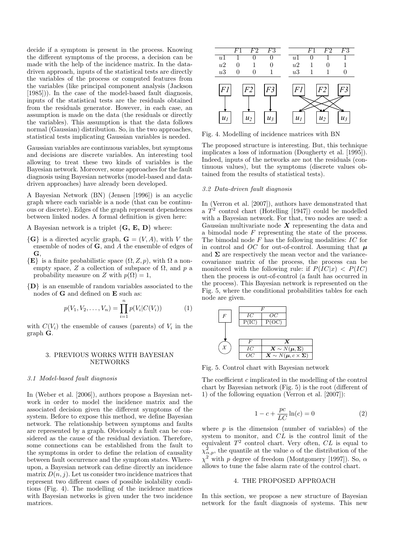decide if a symptom is present in the process. Knowing the different symptoms of the process, a decision can be made with the help of the incidence matrix. In the datadriven approach, inputs of the statistical tests are directly the variables of the process or computed features from the variables (like principal component analysis (Jackson [1985])). In the case of the model-based fault diagnosis, inputs of the statistical tests are the residuals obtained from the residuals generator. However, in each case, an assumption is made on the data (the residuals or directly the variables). This assumption is that the data follows normal (Gaussian) distribution. So, in the two approaches, statistical tests implicating Gaussian variables is needed.

Gaussian variables are continuous variables, but symptoms and decisions are discrete variables. An interesting tool allowing to treat these two kinds of variables is the Bayesian network. Moreover, some approaches for the fault diagnosis using Bayesian networks (model-based and datadriven approaches) have already been developed.

A Bayesian Network (BN) (Jensen [1996]) is an acyclic graph where each variable is a node (that can be continuous or discrete). Edges of the graph represent dependences between linked nodes. A formal definition is given here:

A Bayesian network is a triplet  $\{G, E, D\}$  where:

- $\{G\}$  is a directed acyclic graph,  $G = (V, A)$ , with V the ensemble of nodes of G, and A the ensemble of edges of G,
- $\{E\}$  is a finite probabilistic space  $(\Omega, Z, p)$ , with  $\Omega$  a nonempty space, Z a collection of subspace of  $\Omega$ , and p a probability measure on Z with  $p(\Omega) = 1$ ,
- {D} is an ensemble of random variables associated to the nodes of G and defined on E such as:

$$
p(V_1, V_2, \dots, V_n) = \prod_{i=1}^n p(V_i|C(V_i))
$$
 (1)

with  $C(V_i)$  the ensemble of causes (parents) of  $V_i$  in the graph G.

# 3. PREVIOUS WORKS WITH BAYESIAN NETWORKS

#### 3.1 Model-based fault diagnosis

In (Weber et al. [2006]), authors propose a Bayesian network in order to model the incidence matrix and the associated decision given the different symptoms of the system. Before to expose this method, we define Bayesian network. The relationship between symptoms and faults are represented by a graph. Obviously a fault can be considered as the cause of the residual deviation. Therefore, some connections can be established from the fault to the symptoms in order to define the relation of causality between fault occurrence and the symptom states. Whereupon, a Bayesian network can define directly an incidence matrix  $D(n, j)$ . Let us consider two incidence matrices that represent two different cases of possible isolability conditions (Fig. 4). The modelling of the incidence matrices with Bayesian networks is given under the two incidence matrices.



Fig. 4. Modelling of incidence matrices with BN

The proposed structure is interesting. But, this technique implicates a loss of information (Dougherty et al. [1995]). Indeed, inputs of the networks are not the residuals (continuous values), but the symptoms (discrete values obtained from the results of statistical tests).

# 3.2 Data-driven fault diagnosis

In (Verron et al. [2007]), authors have demonstrated that a  $T^2$  control chart (Hotelling [1947]) could be modelled with a Bayesian network. For that, two nodes are used: a Gaussian multivariate node  $X$  representing the data and a bimodal node F representing the state of the process. The bimodal node  $F$  has the following modalities:  $IC$  for in control and OC for out-of-control. Assuming that  $\mu$ and  $\Sigma$  are respectively the mean vector and the variancecovariance matrix of the process, the process can be monitored with the following rule: if  $P(\overline{IC}|x) < P(IC)$ then the process is out-of-control (a fault has occurred in the process). This Bayesian network is represented on the Fig. 5, where the conditional probabilities tables for each node are given.



Fig. 5. Control chart with Bayesian network

The coefficient c implicated in the modelling of the control chart by Bayesian network (Fig. 5) is the root (different of 1) of the following equation (Verron et al. [2007]):

$$
1 - c + \frac{pc}{LC} \ln(c) = 0 \tag{2}
$$

where  $p$  is the dimension (number of variables) of the system to monitor, and CL is the control limit of the equivalent  $T^2$  control chart. Very often,  $CL$  is equal to  $\chi^2_{\alpha,p}$ , the quantile at the value  $\alpha$  of the distribution of the  $\chi^2$  with p degree of freedom (Montgomery [1997]). So,  $\alpha$ allows to tune the false alarm rate of the control chart.

# 4. THE PROPOSED APPROACH

In this section, we propose a new structure of Bayesian network for the fault diagnosis of systems. This new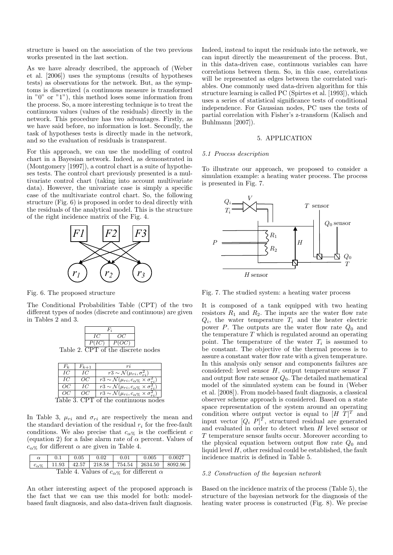structure is based on the association of the two previous works presented in the last section.

As we have already described, the approach of (Weber et al. [2006]) uses the symptoms (results of hypotheses tests) as observations for the network. But, as the symptoms is discretized (a continuous measure is transformed in "0" or "1"), this method loses some information from the process. So, a more interesting technique is to treat the continuous values (values of the residuals) directly in the network. This procedure has two advantages. Firstly, as we have said before, no information is lost. Secondly, the task of hypotheses tests is directly made in the network, and so the evaluation of residuals is transparent.

For this approach, we can use the modelling of control chart in a Bayesian network. Indeed, as demonstrated in (Montgomery [1997]), a control chart is a suite of hypotheses tests. The control chart previously presented is a multivariate control chart (taking into account multivariate data). However, the univariate case is simply a specific case of the multivariate control chart. So, the following structure (Fig. 6) is proposed in order to deal directly with the residuals of the analytical model. This is the structure of the right incidence matrix of the Fig. 4.



Fig. 6. The proposed structure

The Conditional Probabilities Table (CPT) of the two different types of nodes (discrete and continuous) are given in Tables 2 and 3.

| OC<br>10<br>P(OC)<br>P(IC) |  |  |  |  |
|----------------------------|--|--|--|--|
|                            |  |  |  |  |
|                            |  |  |  |  |

Table 2. CPT of the discrete nodes

| Fŀ    | $F_{k+1}$ |                                                                                           |
|-------|-----------|-------------------------------------------------------------------------------------------|
| IС    | IС        | $\overline{r3 \sim \mathcal{N}(\mu_{ri}, \sigma_{ri}^2)}$                                 |
| IС    | OC        | $\overline{r3 \sim \mathcal{N}}(\mu_{ri}, c_{\alpha\%} \times \underline{\sigma}_{ri}^2)$ |
| OC    | IС        | $\overline{r_3} \sim \mathcal{N}(\mu_{ri}, c_{\alpha\%} \times \sigma_{ri}^2)$            |
| OC    | OC        | $r3 \sim \mathcal{N}(\mu_{ri}, c_{\alpha\%} \times \sigma_{ri}^2)$                        |
| ملططا |           |                                                                                           |

Table 3. CPT of the continuous nodes

In Table 3,  $\mu_{ri}$  and  $\sigma_{ri}$  are respectively the mean and the standard deviation of the residual  $r_i$  for the free-fault conditions. We also precise that  $c_{\alpha\%}$  is the coefficient c (equation 2) for a false alarm rate of  $\alpha$  percent. Values of  $c_{\alpha\%}$  for different  $\alpha$  are given in Table 4.

| $\alpha$       |                                                          | 0.1 | 0.05 | 0.02 | 0.01 | 0.005                                                           | $\perp$ 0.0027 |
|----------------|----------------------------------------------------------|-----|------|------|------|-----------------------------------------------------------------|----------------|
| $c_{\alpha\%}$ |                                                          |     |      |      |      | $11.93$   $42.57$   $218.58$   $754.54$   $2634.50$   $8092.96$ |                |
|                | Table 4. Values of $c_{\alpha\%}$ for different $\alpha$ |     |      |      |      |                                                                 |                |

An other interesting aspect of the proposed approach is the fact that we can use this model for both: modelbased fault diagnosis, and also data-driven fault diagnosis. Indeed, instead to input the residuals into the network, we can input directly the measurement of the process. But, in this data-driven case, continuous variables can have correlations between them. So, in this case, correlations will be represented as edges between the correlated variables. One commonly used data-driven algorithm for this structure learning is called PC (Spirtes et al. [1993]), which uses a series of statistical significance tests of conditional independence. For Gaussian nodes, PC uses the tests of partial correlation with Fisher's z-transform (Kalisch and Buhlmann [2007]).

#### 5. APPLICATION

#### 5.1 Process description

To illustrate our approach, we proposed to consider a simulation example: a heating water process. The process is presented in Fig. 7.



Fig. 7. The studied system: a heating water process

It is composed of a tank equipped with two heating resistors  $R_1$  and  $R_2$ . The inputs are the water flow rate  $Q_i$ , the water temperature  $T_i$  and the heater electric power  $P$ . The outputs are the water flow rate  $Q_0$  and the temperature  $T$  which is regulated around an operating point. The temperature of the water  $T_i$  is assumed to be constant. The objective of the thermal process is to assure a constant water flow rate with a given temperature. In this analysis only sensor and components failures are considered: level sensor  $H$ , output temperature sensor  $T$ and output flow rate sensor  $Q_0$ . The detailed mathematical model of the simulated system can be found in (Weber et al. [2008]). From model-based fault diagnosis, a classical observer scheme approach is considered. Based on a state space representation of the system around an operating condition where output vector is equal to  $[H \ T]^T$  and input vector  $[Q_i \ P]^T$ , structured residual are generated and evaluated in order to detect when H level sensor or T temperature sensor faults occur. Moreover according to the physical equation between output flow rate  $Q_0$  and liquid level  $H$ , other residual could be established, the fault incidence matrix is defined in Table 5.

# 5.2 Construction of the bayesian network

Based on the incidence matrix of the process (Table 5), the structure of the bayesian network for the diagnosis of the heating water process is constructed (Fig. 8). We precise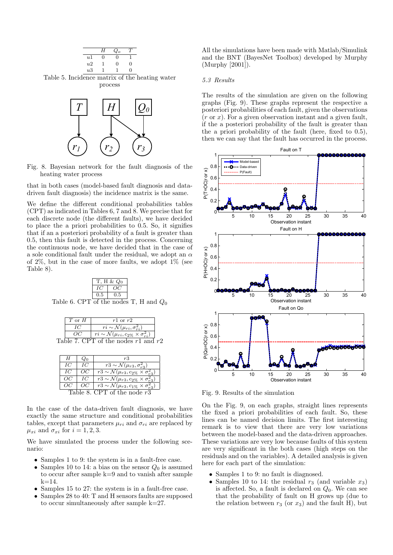

 $r_1$   $(r_2)$   $(r_3)$ Fig. 8. Bayesian network for the fault diagnosis of the

heating water process

that in both cases (model-based fault diagnosis and datadriven fault diagnosis) the incidence matrix is the same.

We define the different conditional probabilities tables (CPT) as indicated in Tables 6, 7 and 8. We precise that for each discrete node (the different faults), we have decided to place the a priori probabilities to 0.5. So, it signifies that if an a posteriori probability of a fault is greater than 0.5, then this fault is detected in the process. Concerning the continuous node, we have decided that in the case of a sole conditional fault under the residual, we adopt an  $\alpha$ of 2%, but in the case of more faults, we adopt 1% (see Table 8).

|     | T, H & $Q_0$ |  |
|-----|--------------|--|
|     | OC           |  |
| 0.5 | 0.5          |  |

Table 6. CPT of the nodes T, H and  $Q_0$ 

| $T$ or $H$ | $r1$ or $r2$                                                  |  |
|------------|---------------------------------------------------------------|--|
|            | $ri \sim \mathcal{N}(\mu_{ri}, \sigma_{ni}^2)$                |  |
|            | $ri \sim \mathcal{N}(\mu_{ri}, c_{2\%} \times \sigma_{ri}^2)$ |  |
|            | Table 7. CPT of the nodes $r1$ and $r2$                       |  |

| Н                             |                                                               | r3                                                                        |  |
|-------------------------------|---------------------------------------------------------------|---------------------------------------------------------------------------|--|
| IС                            | IС                                                            | $r3 \sim \mathcal{N}(\mu_{r3}, \sigma_{r3}^2)$                            |  |
| IС                            | OC.                                                           | $r3 \sim \mathcal{N}(\mu_{r3}, c_{2\%} \times \sigma_{r3}^2)$             |  |
| OC.                           | IС                                                            | $\overline{r_3} \sim \mathcal{N}(\mu_{r3}, c_{2\%} \times \sigma_{r3}^2)$ |  |
|                               | $r3 \sim \mathcal{N}(\mu_{r3}, c_{1\%} \times \sigma_{r3}^2)$ |                                                                           |  |
| Table 8. CPT of the node $r3$ |                                                               |                                                                           |  |

In the case of the data-driven fault diagnosis, we have exactly the same structure and conditional probabilities tables, except that parameters  $\mu_{ri}$  and  $\sigma_{ri}$  are replaced by  $\mu_{xi}$  and  $\sigma_{xi}$  for  $i = 1, 2, 3$ .

We have simulated the process under the following scenario:

- Samples 1 to 9: the system is in a fault-free case.
- Samples 10 to 14: a bias on the sensor  $Q_0$  is assumed to occur after sample k=9 and to vanish after sample  $k = 14$ .
- Samples 15 to 27: the system is in a fault-free case.
- Samples 28 to 40: T and H sensors faults are supposed to occur simultaneously after sample k=27.

All the simulations have been made with Matlab/Simulink and the BNT (BayesNet Toolbox) developed by Murphy (Murphy [2001]).

#### 5.3 Results

The results of the simulation are given on the following graphs (Fig. 9). These graphs represent the respective a posteriori probabilities of each fault, given the observations  $(r \text{ or } x)$ . For a given observation instant and a given fault, if the a posteriori probability of the fault is greater than the a priori probability of the fault (here, fixed to 0.5), then we can say that the fault has occurred in the process.



Fig. 9. Results of the simulation

On the Fig. 9, on each graphs, straight lines represents the fixed a priori probabilities of each fault. So, these lines can be named decision limits. The first interesting remark is to view that there are very low variations between the model-based and the data-driven approaches. These variations are very low because faults of this system are very significant in the both cases (high steps on the residuals and on the variables). A detailed analysis is given here for each part of the simulation:

- Samples 1 to 9: no fault is diagnosed.
- Samples 10 to 14: the residual  $r_3$  (and variable  $x_3$ ) is affected. So, a fault is declared on  $Q_0$ . We can see that the probability of fault on H grows up (due to the relation between  $r_3$  (or  $x_3$ ) and the fault H), but